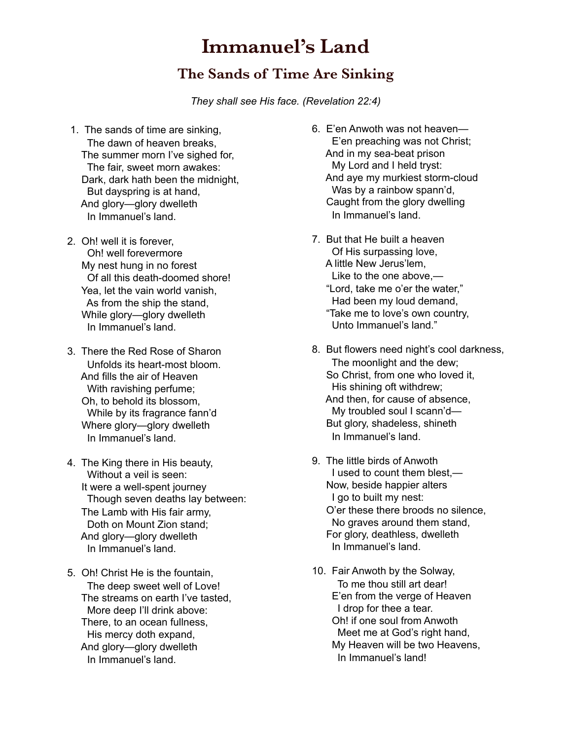## **Immanuel's Land**

## **The Sands of Time Are Sinking**

*They shall see His face. (Revelation 22:4)*

- 1. The sands of time are sinking, The dawn of heaven breaks, The summer morn I've sighed for, The fair, sweet morn awakes: Dark, dark hath been the midnight, But dayspring is at hand, And glory—glory dwelleth In Immanuel's land.
- 2. Oh! well it is forever, Oh! well forevermore My nest hung in no forest Of all this death-doomed shore! Yea, let the vain world vanish, As from the ship the stand, While glory—glory dwelleth In Immanuel's land.
- 3. There the Red Rose of Sharon Unfolds its heart-most bloom. And fills the air of Heaven With ravishing perfume; Oh, to behold its blossom, While by its fragrance fann'd Where glory—glory dwelleth In Immanuel's land.
- 4. The King there in His beauty, Without a veil is seen: It were a well-spent journey Though seven deaths lay between: The Lamb with His fair army, Doth on Mount Zion stand; And glory—glory dwelleth In Immanuel's land.
- 5. Oh! Christ He is the fountain, The deep sweet well of Love! The streams on earth I've tasted, More deep I'll drink above: There, to an ocean fullness, His mercy doth expand, And glory—glory dwelleth In Immanuel's land.
- 6. E'en Anwoth was not heaven— E'en preaching was not Christ; And in my sea-beat prison My Lord and I held tryst: And aye my murkiest storm-cloud Was by a rainbow spann'd, Caught from the glory dwelling In Immanuel's land.
- 7. But that He built a heaven Of His surpassing love, A little New Jerus'lem, Like to the one above,— "Lord, take me o'er the water," Had been my loud demand, "Take me to love's own country, Unto Immanuel's land."
- 8. But flowers need night's cool darkness, The moonlight and the dew; So Christ, from one who loved it, His shining oft withdrew; And then, for cause of absence, My troubled soul I scann'd— But glory, shadeless, shineth In Immanuel's land.
- 9. The little birds of Anwoth I used to count them blest,— Now, beside happier alters I go to built my nest: O'er these there broods no silence, No graves around them stand, For glory, deathless, dwelleth In Immanuel's land.
- 10. Fair Anwoth by the Solway, To me thou still art dear! E'en from the verge of Heaven I drop for thee a tear. Oh! if one soul from Anwoth Meet me at God's right hand, My Heaven will be two Heavens, In Immanuel's land!